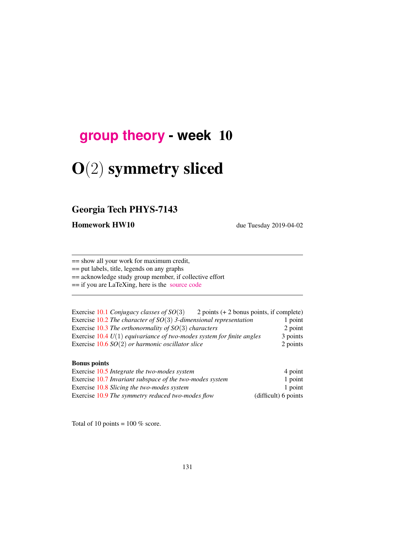# **[group theory](http://birdtracks.eu/courses/PHYS-7143-19/schedule.html) - week** 10

# O(2) symmetry sliced

# Georgia Tech PHYS-7143

Homework HW10 due Tuesday 2019-04-02

== show all your work for maximum credit,

== put labels, title, legends on any graphs

== acknowledge study group member, if collective effort

== if you are LaTeXing, here is the [source code](http://birdtracks.eu/courses/PHYS-7143-19/exerWeek10.tex)

| Exercise 10.1 Conjugacy classes of $SO(3)$                              | 2 points $(+ 2$ bonus points, if complete) |          |
|-------------------------------------------------------------------------|--------------------------------------------|----------|
| Exercise 10.2 The character of $SO(3)$ 3-dimensional representation     |                                            | 1 point  |
| Exercise 10.3 The orthonormality of $SO(3)$ characters                  |                                            | 2 point  |
| Exercise $10.4 U(1)$ equivariance of two-modes system for finite angles |                                            | 3 points |
| Exercise $10.6$ SO(2) or harmonic oscillator slice                      |                                            | 2 points |

#### Bonus points

| Exercise 10.5 Integrate the two-modes system             | 4 point              |
|----------------------------------------------------------|----------------------|
| Exercise 10.7 Invariant subspace of the two-modes system | 1 point              |
| Exercise 10.8 Slicing the two-modes system               | 1 point              |
| Exercise 10.9 The symmetry reduced two-modes flow        | (difficult) 6 points |

Total of 10 points =  $100\%$  score.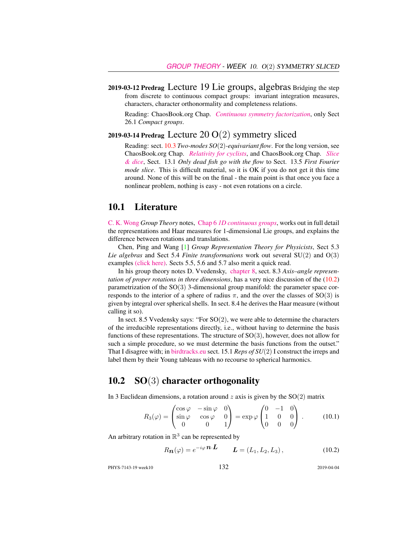2019-03-12 Predrag Lecture 19 Lie groups, algebras Bridging the step from discrete to continuous compact groups: invariant integration measures, characters, character orthonormality and completeness relations.

Reading: ChaosBook.org Chap. *[Continuous symmetry factorization](http://birdtracks.eu/courses/PHYS-7143-19/rpo.pdf)*, only Sect 26.1 *Compact groups*.

# 2019-03-14 Predrag Lecture 20 O(2) symmetry sliced

Reading: sect. 10.3 *Two-modes SO*(2)*-equivariant flow*. For the long version, see ChaosBook.org Chap. *[Relativity for cyclists](http://birdtracks.eu/courses/PHYS-7143-19/continuous.pdf)*, and ChaosBook.org Chap. *[Slice](http://birdtracks.eu/courses/PHYS-7143-19/slice.pdf) [& dice](http://birdtracks.eu/courses/PHYS-7143-19/slice.pdf)*, Sect. 13.1 *Only dead fish go with the flow* to Sect. 13.5 *First Fourier mode slice*. This is difficult material, so it is OK if you do not get it this time around. None of this will be on the final - the main point is that once you face a nonlinear problem, nothing is easy - not even rotations on a circle.

### 10.1 Literature

[C. K. Wong](http://ckw.phys.ncku.edu.tw/) *Group Theory* notes, Chap 6 *[1D continuous groups](http://ckw.phys.ncku.edu.tw/public/pub/Notes/Mathematics/GroupTheory/Tung/Powerpoint/6._1DContinuousGroups.ppt)*, works out in full detail the representations and Haar measures for 1-dimensional Lie groups, and explains the difference between rotations and translations.

Chen, Ping and Wang [1] *Group Representation Theory for Physicists*, Sect 5.3 *Lie algebras* and Sect 5.4 *Finite transformations* work out several SU(2) and O(3) examples [\(click here\).](http://ChaosBook.org/library/Chen5-2.pdf) Sects 5.5, 5.6 and 5.7 also merit a quick read.

In his group theory notes D. Vvedensky, [chapter 8,](http://birdtracks.eu/courses/PHYS-7143-19/VvedenskyCh8.pdf) sect. 8.3 *Axis–angle representation of proper rotations in three dimensions*, has a very nice discussion of the (10.2) parametrization of the  $SO(3)$  3-dimensional group manifold: the parameter space corresponds to the interior of a sphere of radius  $\pi$ , and the over the classes of SO(3) is given by integral over spherical shells. In sect. 8.4 he derives the Haar measure (without calling it so).

In sect. 8.5 Vvedensky says: "For  $SO(2)$ , we were able to determine the characters of the irreducible representations directly, i.e., without having to determine the basis functions of these representations. The structure of  $SO(3)$ , however, does not allow for such a simple procedure, so we must determine the basis functions from the outset." That I disagree with; in [birdtracks.eu](http://birdtracks.eu) sect. 15.1 *Reps of SU*(2) I construct the irreps and label them by their Young tableaus with no recourse to spherical harmonics.

# 10.2 SO(3) character orthogonality

In 3 Euclidean dimensions, a rotation around z axis is given by the  $SO(2)$  matrix

$$
R_3(\varphi) = \begin{pmatrix} \cos \varphi & -\sin \varphi & 0 \\ \sin \varphi & \cos \varphi & 0 \\ 0 & 0 & 1 \end{pmatrix} = \exp \varphi \begin{pmatrix} 0 & -1 & 0 \\ 1 & 0 & 0 \\ 0 & 0 & 0 \end{pmatrix} . \tag{10.1}
$$

An arbitrary rotation in  $\mathbb{R}^3$  can be represented by

$$
R_{\mathbf{n}}(\varphi) = e^{-i\varphi} \mathbf{n} \cdot \mathbf{L} \qquad \mathbf{L} = (L_1, L_2, L_3), \qquad (10.2)
$$

PHYS-7143-19 week10 132 2019-04-04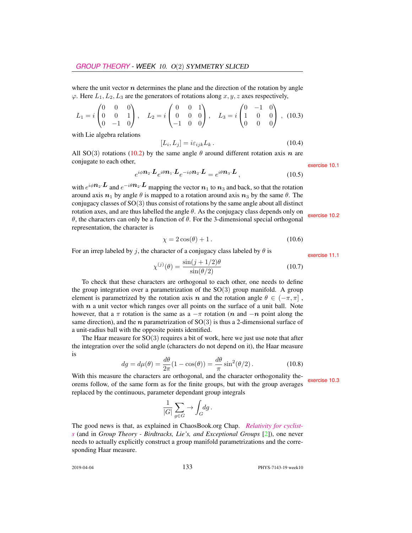where the unit vector  $n$  determines the plane and the direction of the rotation by angle  $\varphi$ . Here  $L_1, L_2, L_3$  are the generators of rotations along  $x, y, z$  axes respectively,

$$
L_1 = i \begin{pmatrix} 0 & 0 & 0 \\ 0 & 0 & 1 \\ 0 & -1 & 0 \end{pmatrix}, \quad L_2 = i \begin{pmatrix} 0 & 0 & 1 \\ 0 & 0 & 0 \\ -1 & 0 & 0 \end{pmatrix}, \quad L_3 = i \begin{pmatrix} 0 & -1 & 0 \\ 1 & 0 & 0 \\ 0 & 0 & 0 \end{pmatrix}, (10.3)
$$

with Lie algebra relations

$$
[L_i, L_j] = i\varepsilon_{ijk} L_k. \tag{10.4}
$$

All SO(3) rotations (10.2) by the same angle  $\theta$  around different rotation axis n are conjugate to each other, exercise 10.1

$$
e^{i\phi \mathbf{n}_2 \cdot \mathbf{L}} e^{i\theta \mathbf{n}_1 \cdot \mathbf{L}} e^{-i\phi \mathbf{n}_2 \cdot \mathbf{L}} = e^{i\theta \mathbf{n}_3 \cdot \mathbf{L}}, \qquad (10.5)
$$

with  $e^{i\phi \mathbf{n}_2 \cdot \mathbf{L}}$  and  $e^{-i\theta \mathbf{n}_2 \cdot \mathbf{L}}$  mapping the vector  $\mathbf{n}_1$  to  $\mathbf{n}_3$  and back, so that the rotation around axis  $n_1$  by angle  $\theta$  is mapped to a rotation around axis  $n_3$  by the same  $\theta$ . The conjugacy classes of SO(3) thus consist of rotations by the same angle about all distinct rotation axes, and are thus labelled the angle θ. As the conjugacy class depends only on  $θ$ , the characters can only be a function of  $θ$ . For the 3-dimensional special orthogonal exercise 10.2 representation, the character is

$$
\chi = 2\cos(\theta) + 1. \tag{10.6}
$$

For an irrep labeled by j, the character of a conjugacy class labeled by  $\theta$  is exercise 11.1

$$
\chi^{(j)}(\theta) = \frac{\sin(j+1/2)\theta}{\sin(\theta/2)}\tag{10.7}
$$

To check that these characters are orthogonal to each other, one needs to define the group integration over a parametrization of the  $SO(3)$  group manifold. A group element is parametrized by the rotation axis n and the rotation angle  $\theta \in (-\pi, \pi]$ , with  $n$  a unit vector which ranges over all points on the surface of a unit ball. Note however, that a  $\pi$  rotation is the same as a  $-\pi$  rotation (n and  $-n$  point along the same direction), and the *n* parametrization of  $SO(3)$  is thus a 2-dimensional surface of a unit-radius ball with the opposite points identified.

The Haar measure for  $SO(3)$  requires a bit of work, here we just use note that after the integration over the solid angle (characters do not depend on it), the Haar measure is

$$
dg = d\mu(\theta) = \frac{d\theta}{2\pi}(1 - \cos(\theta)) = \frac{d\theta}{\pi}\sin^2(\theta/2).
$$
 (10.8)

With this measure the characters are orthogonal, and the character orthogonality theorems follow, of the same form as for the finite groups, but with the group averages replaced by the continuous, parameter dependant group integrals

$$
\frac{1}{|G|} \sum_{g \in G} \to \int_G dg \, .
$$

The good news is that, as explained in ChaosBook.org Chap. *[Relativity for cyclist](http://birdtracks.eu/courses/PHYS-7143-19/continuous.pdf)[s](http://birdtracks.eu/courses/PHYS-7143-19/continuous.pdf)* (and in *Group Theory - Birdtracks, Lie's, and Exceptional Groups* [2]), one never needs to actually explicitly construct a group manifold parametrizations and the corresponding Haar measure.

2019-04-04 133 PHYS-7143-19 week10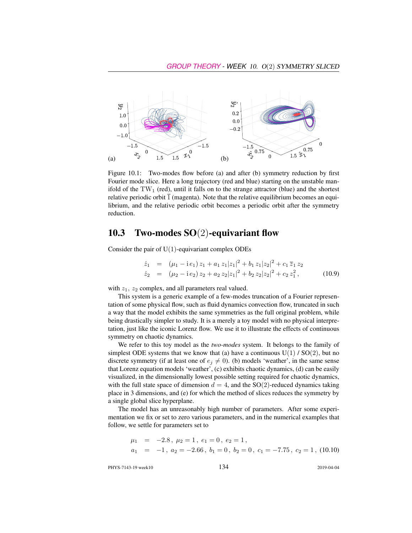

Figure 10.1: Two-modes flow before (a) and after (b) symmetry reduction by first Fourier mode slice. Here a long trajectory (red and blue) starting on the unstable manifold of the  $TW_1$  (red), until it falls on to the strange attractor (blue) and the shortest relative periodic orbit  $\overline{1}$  (magenta). Note that the relative equilibrium becomes an equilibrium, and the relative periodic orbit becomes a periodic orbit after the symmetry reduction.

# 10.3 Two-modes SO(2)-equivariant flow

Consider the pair of  $U(1)$ -equivariant complex ODEs

$$
\dot{z}_1 = (\mu_1 - i e_1) z_1 + a_1 z_1 |z_1|^2 + b_1 z_1 |z_2|^2 + c_1 \overline{z}_1 z_2
$$
  
\n
$$
\dot{z}_2 = (\mu_2 - i e_2) z_2 + a_2 z_2 |z_1|^2 + b_2 z_2 |z_2|^2 + c_2 z_1^2,
$$
 (10.9)

with  $z_1$ ,  $z_2$  complex, and all parameters real valued.

This system is a generic example of a few-modes truncation of a Fourier representation of some physical flow, such as fluid dynamics convection flow, truncated in such a way that the model exhibits the same symmetries as the full original problem, while being drastically simpler to study. It is a merely a toy model with no physical interpretation, just like the iconic Lorenz flow. We use it to illustrate the effects of continuous symmetry on chaotic dynamics.

We refer to this toy model as the *two-modes* system. It belongs to the family of simplest ODE systems that we know that (a) have a continuous  $U(1) / SO(2)$ , but no discrete symmetry (if at least one of  $e_i \neq 0$ ). (b) models 'weather', in the same sense that Lorenz equation models 'weather', (c) exhibits chaotic dynamics, (d) can be easily visualized, in the dimensionally lowest possible setting required for chaotic dynamics, with the full state space of dimension  $d = 4$ , and the SO(2)-reduced dynamics taking place in 3 dimensions, and (e) for which the method of slices reduces the symmetry by a single global slice hyperplane.

The model has an unreasonably high number of parameters. After some experimentation we fix or set to zero various parameters, and in the numerical examples that follow, we settle for parameters set to

$$
\mu_1
$$
 = -2.8,  $\mu_2$  = 1,  $e_1$  = 0,  $e_2$  = 1,  
\n $a_1$  = -1,  $a_2$  = -2.66,  $b_1$  = 0,  $b_2$  = 0,  $c_1$  = -7.75,  $c_2$  = 1, (10.10)

PHYS-7143-19 week10 134 2019-04-04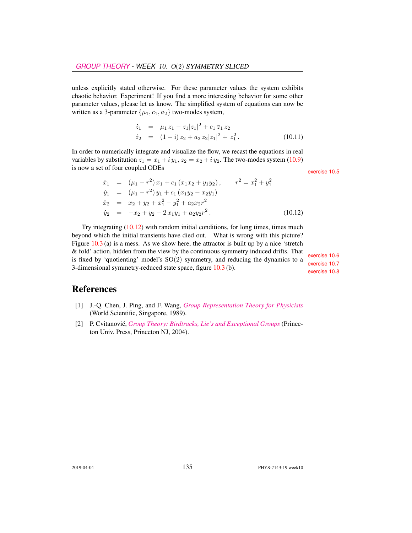unless explicitly stated otherwise. For these parameter values the system exhibits chaotic behavior. Experiment! If you find a more interesting behavior for some other parameter values, please let us know. The simplified system of equations can now be written as a 3-parameter  $\{\mu_1, c_1, a_2\}$  two-modes system,

$$
\dot{z}_1 = \mu_1 z_1 - z_1 |z_1|^2 + c_1 \overline{z}_1 z_2 \n\dot{z}_2 = (1 - i) z_2 + a_2 z_2 |z_1|^2 + z_1^2.
$$
\n(10.11)

In order to numerically integrate and visualize the flow, we recast the equations in real variables by substitution  $z_1 = x_1 + iy_1$ ,  $z_2 = x_2 + iy_2$ . The two-modes system (10.9) is now a set of four coupled ODEs exercise 10.5

$$
\dot{x}_1 = (\mu_1 - r^2) x_1 + c_1 (x_1 x_2 + y_1 y_2), \qquad r^2 = x_1^2 + y_1^2 \n\dot{y}_1 = (\mu_1 - r^2) y_1 + c_1 (x_1 y_2 - x_2 y_1) \n\dot{x}_2 = x_2 + y_2 + x_1^2 - y_1^2 + a_2 x_2 r^2 \n\dot{y}_2 = -x_2 + y_2 + 2 x_1 y_1 + a_2 y_2 r^2.
$$
\n(10.12)

Try integrating  $(10.12)$  with random initial conditions, for long times, times much beyond which the initial transients have died out. What is wrong with this picture? Figure  $10.3$  (a) is a mess. As we show here, the attractor is built up by a nice 'stretch & fold' action, hidden from the view by the continuous symmetry induced drifts. That<br>is fixed by 'quotienting' model's  $SO(2)$  symmetry, and reducing the dynamics to a<br>3-dimensional symmetry-reduced state space, figure 10.

# References

- [1] J.-Q. Chen, J. Ping, and F. Wang, *[Group Representation Theory for Physicists](http://dx.doi.org/10.1142/0262)* (World Scientific, Singapore, 1989).
- [2] P. Cvitanović, *[Group Theory: Birdtracks, Lie's and Exceptional Groups](https://press.princeton.edu/titles/8839.html)* (Princeton Univ. Press, Princeton NJ, 2004).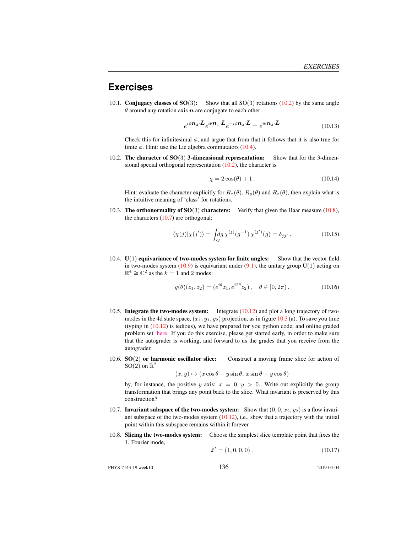## **Exercises**

10.1. **Conjugacy classes of SO** $(3)$ : Show that all SO $(3)$  rotations (10.2) by the same angle  $\theta$  around any rotation axis  $n$  are conjugate to each other:

$$
e^{i\phi \mathbf{n}_2 \cdot \mathbf{L}} e^{i\theta \mathbf{n}_1 \cdot \mathbf{L}} e^{-i\phi \mathbf{n}_2 \cdot \mathbf{L}} = e^{i\theta \mathbf{n}_3 \cdot \mathbf{L}} \tag{10.13}
$$

Check this for infinitesimal  $\phi$ , and argue that from that it follows that it is also true for finite  $\phi$ . Hint: use the Lie algebra commutators (10.4).

10.2. The character of SO(3) 3-dimensional representation: Show that for the 3-dimensional special orthogonal representation (10.2), the character is

$$
\chi = 2\cos(\theta) + 1. \tag{10.14}
$$

Hint: evaluate the character explicitly for  $R_x(\theta)$ ,  $R_y(\theta)$  and  $R_z(\theta)$ , then explain what is the intuitive meaning of 'class' for rotations.

10.3. The orthonormality of  $SO(3)$  characters: Verify that given the Haar measure (10.8), the characters  $(10.7)$  are orthogonal:

$$
\langle \chi(j) | \chi(j') \rangle = \int_G dg \, \chi^{(j)}(g^{-1}) \, \chi^{(j')}(g) = \delta_{jj'} \,. \tag{10.15}
$$

10.4. U(1) equivariance of two-modes system for finite angles: Show that the vector field in two-modes system  $(10.9)$  is equivariant under  $(9.1)$ , the unitary group U(1) acting on  $\mathbb{R}^4 \cong \mathbb{C}^2$  as the  $k = 1$  and 2 modes:

$$
g(\theta)(z_1, z_2) = (e^{i\theta} z_1, e^{i2\theta} z_2), \quad \theta \in [0, 2\pi).
$$
 (10.16)

- 10.5. Integrate the two-modes system: Integrate (10.12) and plot a long trajectory of twomodes in the 4d state space,  $(x_1, y_1, y_2)$  projection, as in figure 10.3 (a). To save you time (typing in (10.12) is tedious), we have prepared for you python code, and online graded problem set [here.](https://phys7224.herokuapp.com/grader/homework5) If you do this exercise, please get started early, in order to make sure that the autograder is working, and forward to us the grades that you receive from the autograder.
- 10.6. **SO**(2) or harmonic oscillator slice: Construct a moving frame slice for action of  $SO(2)$  on  $\mathbb{R}^2$

$$
(x, y) \mapsto (x \cos \theta - y \sin \theta, x \sin \theta + y \cos \theta)
$$

by, for instance, the positive y axis:  $x = 0, y > 0$ . Write out explicitly the group transformation that brings any point back to the slice. What invariant is preserved by this construction?

- 10.7. **Invariant subspace of the two-modes system:** Show that  $(0, 0, x_2, y_2)$  is a flow invariant subspace of the two-modes system  $(10.12)$ , i.e., show that a trajectory with the initial point within this subspace remains within it forever.
- 10.8. Slicing the two-modes system: Choose the simplest slice template point that fixes the 1. Fourier mode,

 $\hat{x}' = (1, 0, 0, 0).$  (10.17)

PHYS-7143-19 week10 136 2019-04-04